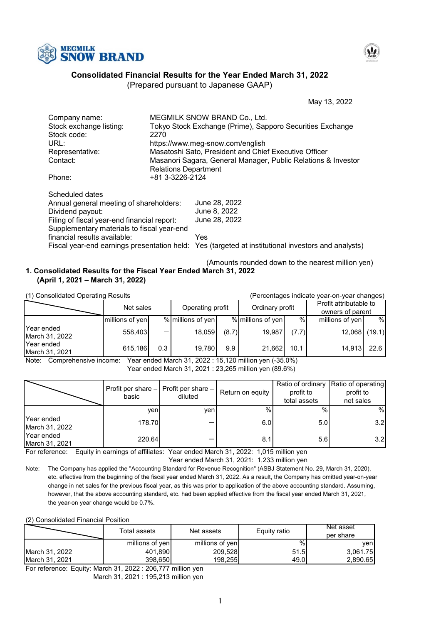



# **Consolidated Financial Results for the Year Ended March 31, 2022**

(Prepared pursuant to Japanese GAAP)

May 13, 2022

| Company name:                               |                             | MEGMILK SNOW BRAND Co., Ltd.                                                                       |
|---------------------------------------------|-----------------------------|----------------------------------------------------------------------------------------------------|
| Stock exchange listing:                     |                             | Tokyo Stock Exchange (Prime), Sapporo Securities Exchange                                          |
| Stock code:                                 | 2270                        |                                                                                                    |
| URL:                                        |                             | https://www.meg-snow.com/english                                                                   |
| Representative:                             |                             | Masatoshi Sato, President and Chief Executive Officer                                              |
| Contact:                                    |                             | Masanori Sagara, General Manager, Public Relations & Investor                                      |
|                                             | <b>Relations Department</b> |                                                                                                    |
| Phone:                                      | +81 3-3226-2124             |                                                                                                    |
|                                             |                             |                                                                                                    |
| Scheduled dates                             |                             |                                                                                                    |
| Annual general meeting of shareholders:     |                             | June 28, 2022                                                                                      |
| Dividend payout:                            |                             | June 8, 2022                                                                                       |
| Filing of fiscal year-end financial report: |                             | June 28, 2022                                                                                      |
| Supplementary materials to fiscal year-end  |                             |                                                                                                    |
| financial results available:                |                             | Yes                                                                                                |
|                                             |                             | Fiscal year-end earnings presentation held: Yes (targeted at institutional investors and analysts) |

#### (Amounts rounded down to the nearest million yen) **(April 1, 2021 – March 31, 2022) 1. Consolidated Results for the Fiscal Year Ended March 31, 2022**

(1) Consolidated Operating Results (Percentages indicate year-on-year changes) 14,913 (19.1) 22.6 19,987 (7.7) Year ended March 31, 2022 Year ended March 31, 2021 558,403 615,186 - 0.3 12,068 21,662 10.1 millions of yen  $\vert$   $\%$  millions of yen  $\vert$   $\%$   $\vert$  millions of yen  $\vert$   $\%$ (8.7) 19,780 9.9 Net sales % 18,059 Profit attributable to Operating profit | Ordinary profit | Ordinary owners of parent

Note: Comprehensive income: Year ended March 31, 2022 : 15,120 million yen (-35.0%) Year ended March 31, 2021 : 23,265 million yen (89.6%)

|                              | basic  | Profit per share $-$ Profit per share $-$<br>diluted | Return on equity | profit to<br>total assets | Ratio of ordinary Ratio of operating<br>profit to<br>net sales |
|------------------------------|--------|------------------------------------------------------|------------------|---------------------------|----------------------------------------------------------------|
|                              | venl   | ven                                                  | $\%$             | $\%$                      | %                                                              |
| Year ended<br>March 31, 2022 | 178.70 |                                                      | 6.0              | 5.0 <sub>l</sub>          | 3.2                                                            |
| Year ended<br>March 31, 2021 | 220.64 |                                                      | 8.1              | 5.6                       | 3.2 <sub>l</sub>                                               |

For reference: Equity in earnings of affiliates: Year ended March 31, 2022: 1,015 million yen

Year ended March 31, 2021: 1,233 million yen

Note: The Company has applied the "Accounting Standard for Revenue Recognition" (ASBJ Statement No. 29, March 31, 2020), etc. effective from the beginning of the fiscal year ended March 31, 2022. As a result, the Company has omitted year-on-year change in net sales for the previous fiscal year, as this was prior to application of the above accounting standard. Assuming, however, that the above accounting standard, etc. had been applied effective from the fiscal year ended March 31, 2021, the year-on year change would be 0.7%.

(2) Consolidated Financial Position

|                | Total assets    | Net assets      | Equity ratio | Net asset<br>per share |
|----------------|-----------------|-----------------|--------------|------------------------|
|                | millions of yen | millions of yen | %            | venl                   |
| March 31, 2022 | 401,890         | 209,528         | 51.51        | 3,061.75               |
| March 31, 2021 | 398,650         | 198,255         | 49.0         | 2,890.65               |

For reference: Equity: March 31, 2022 : 206,777 million yen

March 31, 2021 : 195,213 million yen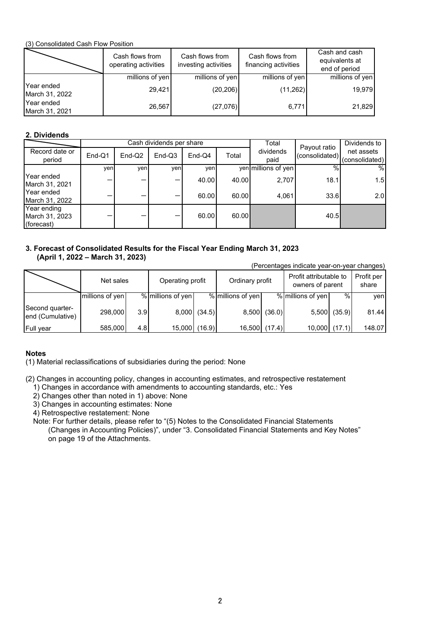(3) Consolidated Cash Flow Position

|                              | Cash flows from<br>operating activities | Cash flows from<br>investing activities | Cash flows from<br>financing activities | Cash and cash<br>equivalents at<br>end of period |
|------------------------------|-----------------------------------------|-----------------------------------------|-----------------------------------------|--------------------------------------------------|
|                              | millions of yen                         | millions of yen                         | millions of yen                         | millions of yen                                  |
| Year ended<br>March 31, 2022 | 29.421                                  | (20, 206)                               | (11,262)                                | 19.979                                           |
| Year ended<br>March 31, 2021 | 26,567                                  | (27,076)                                | 6,771                                   | 21,829                                           |

# **2. Dividends**

|                                             |        |          | Cash dividends per share |          | Total |                     | Dividends to                   |                              |
|---------------------------------------------|--------|----------|--------------------------|----------|-------|---------------------|--------------------------------|------------------------------|
| Record date or<br>period                    | End-Q1 | $End-Q2$ | $End-Q3$                 | $End-Q4$ | Total | dividends<br>paid   | Payout ratio<br>(consolidated) | net assets<br>(consolidated) |
|                                             | ven    | ven      | ven                      | ven      |       | yen millions of yen | $\%$                           | %                            |
| Year ended<br>March 31, 2021                |        |          |                          | 40.00    | 40.00 | 2.707               | 18.1                           | 1.5                          |
| Year ended<br>March 31, 2022                |        |          |                          | 60.00    | 60.00 | 4,061               | 33.6                           | 2.0                          |
| Year ending<br>March 31, 2023<br>(forecast) |        |          |                          | 60.00    | 60.00 |                     | 40.5                           |                              |

# **3. Forecast of Consolidated Results for the Fiscal Year Ending March 31, 2023 (April 1, 2022 – March 31, 2023)**

(Percentages indicate year-on-year changes)

|                                     | Net sales       |                  | Operating profit  |              | Ordinary profit   |              | Profit attributable to<br>owners of parent |              | Profit per<br>share |
|-------------------------------------|-----------------|------------------|-------------------|--------------|-------------------|--------------|--------------------------------------------|--------------|---------------------|
|                                     | millions of yen |                  | % millions of yen |              | % millions of yen |              | % millions of yen                          | %            | ven                 |
| Second quarter-<br>end (Cumulative) | 298,000         | 3.9              |                   | 8,000 (34.5) |                   | 8,500 (36.0) |                                            | 5,500 (35.9) | 81.44               |
| <b>Full year</b>                    | 585,000         | 4.8 <sub>l</sub> | 15,000 (16.9)     |              | 16,500 (17.4)     |              | 10,000                                     | (17.1)       | 148.07              |

# **Notes**

(1) Material reclassifications of subsidiaries during the period: None

(2) Changes in accounting policy, changes in accounting estimates, and retrospective restatement

1) Changes in accordance with amendments to accounting standards, etc.: Yes

2) Changes other than noted in 1) above: None

3) Changes in accounting estimates: None

4) Retrospective restatement: None

Note: For further details, please refer to "(5) Notes to the Consolidated Financial Statements (Changes in Accounting Policies)", under "3. Consolidated Financial Statements and Key Notes" on page 19 of the Attachments.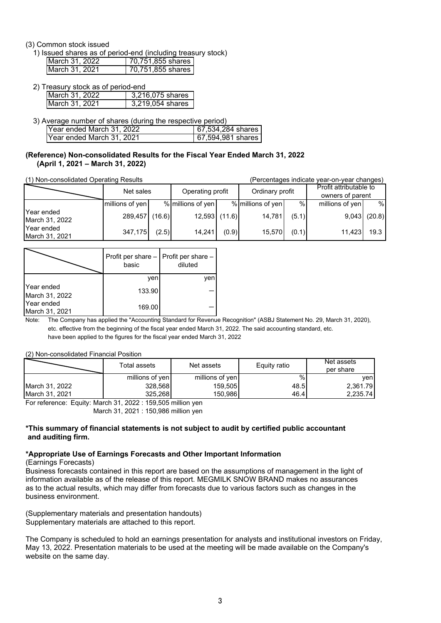# (3) Common stock issued

1) Issued shares as of period-end (including treasury stock)

| March 31, 2022 | 70,751,855 shares |
|----------------|-------------------|
| March 31, 2021 | 70,751,855 shares |

2) Treasury stock as of period-end

| IMarch 31. 2022 | 3.216.075 shares |
|-----------------|------------------|
| March 31, 2021  | 3 219 054 shares |
|                 |                  |

3) Average number of shares (during the respective period) Year ended March 31, 2022 Year ended March 31, 2021 67,534,284 shares 67,594,981 shares

#### **(April 1, 2021 – March 31, 2022) (Reference) Non-consolidated Results for the Fiscal Year Ended March 31, 2022**

(1) Non-consolidated Operating Results (Percentages indicate year-on-year changes)

|                              | Net sales       |        | Operating profit  |       | Ordinary profit   |       | Profit attributable to<br>owners of parent |        |
|------------------------------|-----------------|--------|-------------------|-------|-------------------|-------|--------------------------------------------|--------|
|                              | millions of yen |        | % millions of yen |       | % millions of yen | %     | millions of yen                            | %      |
| Year ended<br>March 31, 2022 | 289,457         | (16.6) | $12,593$ (11.6)   |       | 14,781            | (5.1) | 9,043                                      | (20.8) |
| Year ended<br>March 31, 2021 | 347,175         | (2.5)  | 14.241            | (0.9) | 15.570            | (0.1) | 11.423                                     | 19.3   |

|                              | basic  | Profit per share $-$ Profit per share $-$<br>diluted |
|------------------------------|--------|------------------------------------------------------|
|                              | ven    | ven                                                  |
| Year ended<br>March 31, 2022 | 133.90 |                                                      |
| Year ended<br>March 31, 2021 | 169.00 |                                                      |

Note: The Company has applied the "Accounting Standard for Revenue Recognition" (ASBJ Statement No. 29, March 31, 2020), etc. effective from the beginning of the fiscal year ended March 31, 2022. The said accounting standard, etc. have been applied to the figures for the fiscal year ended March 31, 2022

#### (2) Non-consolidated Financial Position

|                | Total assets    | Net assets      | Equity ratio | Net assets<br>per share |
|----------------|-----------------|-----------------|--------------|-------------------------|
|                | millions of yen | millions of yen | %            | venl                    |
| March 31, 2022 | 328,568         | 159.505         | 48.5         | 2.361.79                |
| March 31, 2021 | 325.268         | 150,9861        | 46.4         | 2,235.74                |

For reference: Equity: March 31, 2022 : 159,505 million yen March 31, 2021 : 150,986 million yen

# **\*This summary of financial statements is not subject to audit by certified public accountant and auditing firm.**

#### **\*Appropriate Use of Earnings Forecasts and Other Important Information**

#### (Earnings Forecasts)

Business forecasts contained in this report are based on the assumptions of management in the light of information available as of the release of this report. MEGMILK SNOW BRAND makes no assurances as to the actual results, which may differ from forecasts due to various factors such as changes in the business environment.

(Supplementary materials and presentation handouts) Supplementary materials are attached to this report.

The Company is scheduled to hold an earnings presentation for analysts and institutional investors on Friday, May 13, 2022. Presentation materials to be used at the meeting will be made available on the Company's website on the same day.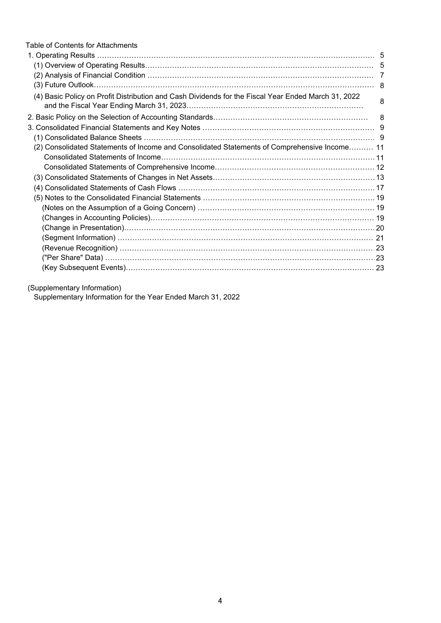| Table of Contents for Attachments                                                                   |   |
|-----------------------------------------------------------------------------------------------------|---|
|                                                                                                     |   |
|                                                                                                     |   |
|                                                                                                     |   |
|                                                                                                     |   |
| (4) Basic Policy on Profit Distribution and Cash Dividends for the Fiscal Year Ended March 31, 2022 | 8 |
|                                                                                                     |   |
|                                                                                                     |   |
|                                                                                                     |   |
| (2) Consolidated Statements of Income and Consolidated Statements of Comprehensive Income 11        |   |
|                                                                                                     |   |
|                                                                                                     |   |
|                                                                                                     |   |
|                                                                                                     |   |
|                                                                                                     |   |
|                                                                                                     |   |
|                                                                                                     |   |
|                                                                                                     |   |
|                                                                                                     |   |
|                                                                                                     |   |
|                                                                                                     |   |
|                                                                                                     |   |

(Supplementary Information)

Supplementary Information for the Year Ended March 31, 2022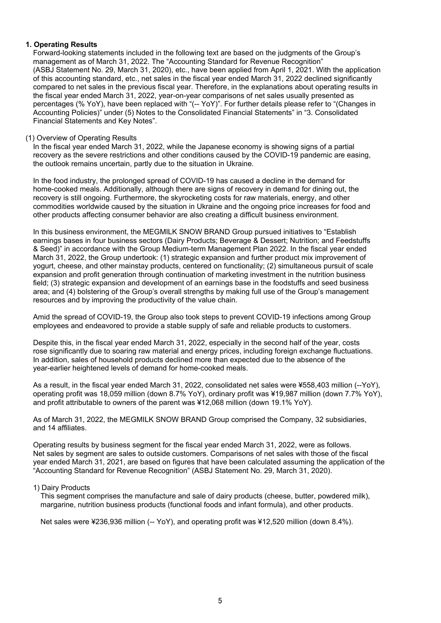# **1. Operating Results**

Forward-looking statements included in the following text are based on the judgments of the Group's management as of March 31, 2022. The "Accounting Standard for Revenue Recognition" (ASBJ Statement No. 29, March 31, 2020), etc., have been applied from April 1, 2021. With the application of this accounting standard, etc., net sales in the fiscal year ended March 31, 2022 declined significantly compared to net sales in the previous fiscal year. Therefore, in the explanations about operating results in the fiscal year ended March 31, 2022, year-on-year comparisons of net sales usually presented as percentages (% YoY), have been replaced with "(-- YoY)". For further details please refer to "(Changes in Accounting Policies)" under (5) Notes to the Consolidated Financial Statements" in "3. Consolidated Financial Statements and Key Notes".

# (1) Overview of Operating Results

In the fiscal year ended March 31, 2022, while the Japanese economy is showing signs of a partial recovery as the severe restrictions and other conditions caused by the COVID-19 pandemic are easing, the outlook remains uncertain, partly due to the situation in Ukraine.

In the food industry, the prolonged spread of COVID-19 has caused a decline in the demand for home-cooked meals. Additionally, although there are signs of recovery in demand for dining out, the recovery is still ongoing. Furthermore, the skyrocketing costs for raw materials, energy, and other commodities worldwide caused by the situation in Ukraine and the ongoing price increases for food and other products affecting consumer behavior are also creating a difficult business environment.

In this business environment, the MEGMILK SNOW BRAND Group pursued initiatives to "Establish earnings bases in four business sectors (Dairy Products; Beverage & Dessert; Nutrition; and Feedstuffs & Seed)" in accordance with the Group Medium-term Management Plan 2022. In the fiscal year ended March 31, 2022, the Group undertook: (1) strategic expansion and further product mix improvement of yogurt, cheese, and other mainstay products, centered on functionality; (2) simultaneous pursuit of scale expansion and profit generation through continuation of marketing investment in the nutrition business field; (3) strategic expansion and development of an earnings base in the foodstuffs and seed business area; and (4) bolstering of the Group's overall strengths by making full use of the Group's management resources and by improving the productivity of the value chain.

Amid the spread of COVID-19, the Group also took steps to prevent COVID-19 infections among Group employees and endeavored to provide a stable supply of safe and reliable products to customers.

Despite this, in the fiscal year ended March 31, 2022, especially in the second half of the year, costs rose significantly due to soaring raw material and energy prices, including foreign exchange fluctuations. In addition, sales of household products declined more than expected due to the absence of the year-earlier heightened levels of demand for home-cooked meals.

As a result, in the fiscal year ended March 31, 2022, consolidated net sales were ¥558,403 million (--YoY), operating profit was 18,059 million (down 8.7% YoY), ordinary profit was ¥19,987 million (down 7.7% YoY), and profit attributable to owners of the parent was ¥12,068 million (down 19.1% YoY).

As of March 31, 2022, the MEGMILK SNOW BRAND Group comprised the Company, 32 subsidiaries, and 14 affiliates.

Operating results by business segment for the fiscal year ended March 31, 2022, were as follows. Net sales by segment are sales to outside customers. Comparisons of net sales with those of the fiscal year ended March 31, 2021, are based on figures that have been calculated assuming the application of the "Accounting Standard for Revenue Recognition" (ASBJ Statement No. 29, March 31, 2020).

#### 1) Dairy Products

This segment comprises the manufacture and sale of dairy products (cheese, butter, powdered milk), margarine, nutrition business products (functional foods and infant formula), and other products.

Net sales were ¥236,936 million (-- YoY), and operating profit was ¥12,520 million (down 8.4%).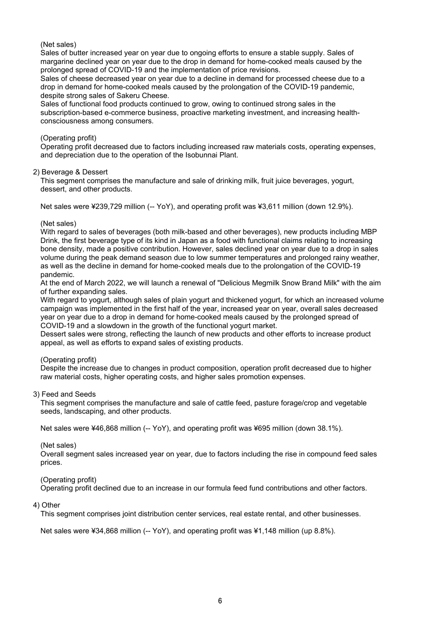(Net sales)

Sales of butter increased year on year due to ongoing efforts to ensure a stable supply. Sales of margarine declined year on year due to the drop in demand for home-cooked meals caused by the prolonged spread of COVID-19 and the implementation of price revisions.

Sales of cheese decreased year on year due to a decline in demand for processed cheese due to a drop in demand for home-cooked meals caused by the prolongation of the COVID-19 pandemic, despite strong sales of Sakeru Cheese.

Sales of functional food products continued to grow, owing to continued strong sales in the subscription-based e-commerce business, proactive marketing investment, and increasing healthconsciousness among consumers.

# (Operating profit)

Operating profit decreased due to factors including increased raw materials costs, operating expenses, and depreciation due to the operation of the Isobunnai Plant.

# 2) Beverage & Dessert

This segment comprises the manufacture and sale of drinking milk, fruit juice beverages, yogurt, dessert, and other products.

Net sales were ¥239,729 million (-- YoY), and operating profit was ¥3,611 million (down 12.9%).

# (Net sales)

With regard to sales of beverages (both milk-based and other beverages), new products including MBP Drink, the first beverage type of its kind in Japan as a food with functional claims relating to increasing bone density, made a positive contribution. However, sales declined year on year due to a drop in sales volume during the peak demand season due to low summer temperatures and prolonged rainy weather, as well as the decline in demand for home-cooked meals due to the prolongation of the COVID-19 pandemic.

At the end of March 2022, we will launch a renewal of "Delicious Megmilk Snow Brand Milk" with the aim of further expanding sales.

With regard to yogurt, although sales of plain yogurt and thickened yogurt, for which an increased volume campaign was implemented in the first half of the year, increased year on year, overall sales decreased year on year due to a drop in demand for home-cooked meals caused by the prolonged spread of COVID-19 and a slowdown in the growth of the functional yogurt market.

Dessert sales were strong, reflecting the launch of new products and other efforts to increase product appeal, as well as efforts to expand sales of existing products.

# (Operating profit)

Despite the increase due to changes in product composition, operation profit decreased due to higher raw material costs, higher operating costs, and higher sales promotion expenses.

#### 3) Feed and Seeds

This segment comprises the manufacture and sale of cattle feed, pasture forage/crop and vegetable seeds, landscaping, and other products.

Net sales were ¥46,868 million (-- YoY), and operating profit was ¥695 million (down 38.1%).

# (Net sales)

Overall segment sales increased year on year, due to factors including the rise in compound feed sales prices.

# (Operating profit)

Operating profit declined due to an increase in our formula feed fund contributions and other factors.

#### 4) Other

This segment comprises joint distribution center services, real estate rental, and other businesses.

Net sales were ¥34,868 million (-- YoY), and operating profit was ¥1,148 million (up 8,8%).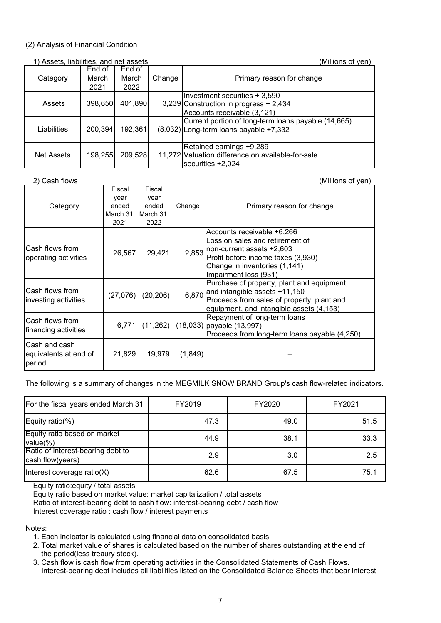# (2) Analysis of Financial Condition

| 1) Assets, liabilities, and net assets |                 |                 |        | (Millions of yen)                                                                                      |
|----------------------------------------|-----------------|-----------------|--------|--------------------------------------------------------------------------------------------------------|
| Category                               | End of<br>March | End of<br>March | Change | Primary reason for change                                                                              |
|                                        | 2021            | 2022            |        |                                                                                                        |
| Assets                                 | 398,650         | 401,890         |        | Investment securities + 3,590<br>3,239 Construction in progress + 2,434<br>Accounts receivable (3,121) |
| Liabilities                            | 200,394         | 192,361         |        | Current portion of long-term loans payable (14,665)<br>$(8,032)$ Long-term loans payable +7,332        |
| <b>Net Assets</b>                      | 198,255         | 209,528         |        | Retained earnings +9,289<br>11,272 Valuation difference on available-for-sale<br>securities $+2,024$   |

2) Cash flows (Millions of yen) and the contract of the contract of the contract of yen) (Millions of yen)

| Category                                         | Fiscal<br>year<br>ended<br>March 31,<br>2021 | Fiscal<br>year<br>ended<br>March 31,<br>2022 | Change  | Primary reason for change                                                                                                                                                                          |
|--------------------------------------------------|----------------------------------------------|----------------------------------------------|---------|----------------------------------------------------------------------------------------------------------------------------------------------------------------------------------------------------|
| Cash flows from<br>operating activities          | 26,567                                       | 29,421                                       |         | Accounts receivable +6,266<br>Loss on sales and retirement of<br>$2,853$ non-current assets +2,603<br>Profit before income taxes (3,930)<br>Change in inventories (1,141)<br>Impairment loss (931) |
| Cash flows from<br>investing activities          | (27,076)                                     | (20, 206)                                    | 6,870   | Purchase of property, plant and equipment,<br>and intangible assets +11,150<br>Proceeds from sales of property, plant and<br>equipment, and intangible assets (4,153)                              |
| Cash flows from<br>financing activities          | 6,771                                        | (11,262)                                     |         | Repayment of long-term loans<br>$(18,033)$ payable $(13,997)$<br>Proceeds from long-term loans payable (4,250)                                                                                     |
| Cash and cash<br>equivalents at end of<br>period | 21,829                                       | 19,979                                       | (1,849) |                                                                                                                                                                                                    |

# The following is a summary of changes in the MEGMILK SNOW BRAND Group's cash flow-related indicators.

| For the fiscal years ended March 31                   | FY2019 | FY2020 | FY2021 |
|-------------------------------------------------------|--------|--------|--------|
| Equity ratio(%)                                       | 47.3   | 49.0   | 51.5   |
| Equity ratio based on market<br>value(%)              | 44.9   | 38.1   | 33.3   |
| Ratio of interest-bearing debt to<br>cash flow(years) | 2.9    | 3.0    | 2.5    |
| Interest coverage ratio(X)                            | 62.6   | 67.5   | 75.1   |

Equity ratio:equity / total assets

Equity ratio based on market value: market capitalization / total assets Ratio of interest-bearing debt to cash flow: interest-bearing debt / cash flow

Interest coverage ratio : cash flow / interest payments

Notes:

- 1. Each indicator is calculated using financial data on consolidated basis.
- 2. Total market value of shares is calculated based on the number of shares outstanding at the end of the period(less treaury stock).
- 3. Cash flow is cash flow from operating activities in the Consolidated Statements of Cash Flows. Interest-bearing debt includes all liabilities listed on the Consolidated Balance Sheets that bear interest.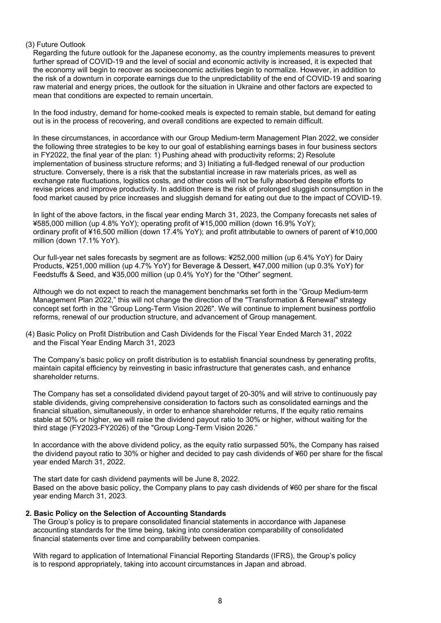# (3) Future Outlook

Regarding the future outlook for the Japanese economy, as the country implements measures to prevent further spread of COVID-19 and the level of social and economic activity is increased, it is expected that the economy will begin to recover as socioeconomic activities begin to normalize. However, in addition to the risk of a downturn in corporate earnings due to the unpredictability of the end of COVID-19 and soaring raw material and energy prices, the outlook for the situation in Ukraine and other factors are expected to mean that conditions are expected to remain uncertain.

In the food industry, demand for home-cooked meals is expected to remain stable, but demand for eating out is in the process of recovering, and overall conditions are expected to remain difficult.

In these circumstances, in accordance with our Group Medium-term Management Plan 2022, we consider the following three strategies to be key to our goal of establishing earnings bases in four business sectors in FY2022, the final year of the plan: 1) Pushing ahead with productivity reforms; 2) Resolute implementation of business structure reforms; and 3) Initiating a full-fledged renewal of our production structure. Conversely, there is a risk that the substantial increase in raw materials prices, as well as exchange rate fluctuations, logistics costs, and other costs will not be fully absorbed despite efforts to revise prices and improve productivity. In addition there is the risk of prolonged sluggish consumption in the food market caused by price increases and sluggish demand for eating out due to the impact of COVID-19.

In light of the above factors, in the fiscal year ending March 31, 2023, the Company forecasts net sales of ¥585,000 million (up 4.8% YoY); operating profit of ¥15,000 million (down 16.9% YoY); ordinary profit of ¥16,500 million (down 17.4% YoY); and profit attributable to owners of parent of ¥10,000 million (down 17.1% YoY).

Our full-year net sales forecasts by segment are as follows: ¥252,000 million (up 6.4% YoY) for Dairy Products, ¥251,000 million (up 4.7% YoY) for Beverage & Dessert, ¥47,000 million (up 0.3% YoY) for Feedstuffs & Seed, and ¥35,000 million (up 0.4% YoY) for the "Other" segment.

Although we do not expect to reach the management benchmarks set forth in the "Group Medium-term Management Plan 2022," this will not change the direction of the "Transformation & Renewal" strategy concept set forth in the "Group Long-Term Vision 2026". We will continue to implement business portfolio reforms, renewal of our production structure, and advancement of Group management.

(4) Basic Policy on Profit Distribution and Cash Dividends for the Fiscal Year Ended March 31, 2022 and the Fiscal Year Ending March 31, 2023

The Company's basic policy on profit distribution is to establish financial soundness by generating profits, maintain capital efficiency by reinvesting in basic infrastructure that generates cash, and enhance shareholder returns.

The Company has set a consolidated dividend payout target of 20-30% and will strive to continuously pay stable dividends, giving comprehensive consideration to factors such as consolidated earnings and the financial situation, simultaneously, in order to enhance shareholder returns, If the equity ratio remains stable at 50% or higher, we will raise the dividend payout ratio to 30% or higher, without waiting for the third stage (FY2023-FY2026) of the "Group Long-Term Vision 2026."

In accordance with the above dividend policy, as the equity ratio surpassed 50%, the Company has raised the dividend payout ratio to 30% or higher and decided to pay cash dividends of ¥60 per share for the fiscal year ended March 31, 2022.

The start date for cash dividend payments will be June 8, 2022. Based on the above basic policy, the Company plans to pay cash dividends of ¥60 per share for the fiscal year ending March 31, 2023.

# **2. Basic Policy on the Selection of Accounting Standards**

The Group's policy is to prepare consolidated financial statements in accordance with Japanese accounting standards for the time being, taking into consideration comparability of consolidated financial statements over time and comparability between companies.

With regard to application of International Financial Reporting Standards (IFRS), the Group's policy is to respond appropriately, taking into account circumstances in Japan and abroad.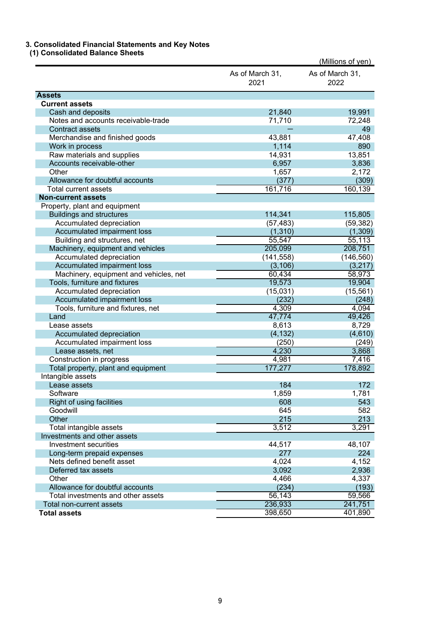#### **3. Consolidated Financial Statements and Key Notes**

 **(1) Consolidated Balance Sheets**

|                                        |                         | (Millions of yen)       |
|----------------------------------------|-------------------------|-------------------------|
|                                        | As of March 31,<br>2021 | As of March 31,<br>2022 |
| <b>Assets</b>                          |                         |                         |
| <b>Current assets</b>                  |                         |                         |
| Cash and deposits                      | 21,840                  | 19,991                  |
| Notes and accounts receivable-trade    | 71,710                  | 72,248                  |
| <b>Contract assets</b>                 |                         | 49                      |
| Merchandise and finished goods         | 43,881                  | 47,408                  |
| Work in process                        | 1,114                   | 890                     |
| Raw materials and supplies             | 14,931                  | 13,851                  |
| Accounts receivable-other              | 6,957                   | 3,836                   |
| Other                                  | 1,657                   | 2,172                   |
| Allowance for doubtful accounts        | (377)                   | (309)                   |
| <b>Total current assets</b>            | 161,716                 | 160,139                 |
| <b>Non-current assets</b>              |                         |                         |
| Property, plant and equipment          |                         |                         |
| <b>Buildings and structures</b>        | 114,341                 | 115,805                 |
| Accumulated depreciation               | (57, 483)               | (59, 382)               |
| Accumulated impairment loss            | (1, 310)                | (1,309)                 |
| Building and structures, net           | 55,547                  | 55,113                  |
| Machinery, equipment and vehicles      | 205,099                 | 208,751                 |
| Accumulated depreciation               | (141, 558)              | (146, 560)              |
| Accumulated impairment loss            | (3, 106)                | (3,217)                 |
| Machinery, equipment and vehicles, net | 60,434                  | 58,973                  |
| Tools, furniture and fixtures          | 19,573                  | 19,904                  |
| Accumulated depreciation               | (15,031)                | (15, 561)               |
| Accumulated impairment loss            | (232)                   | (248)                   |
| Tools, furniture and fixtures, net     | 4,309                   | 4,094                   |
| Land                                   | 47,774                  | 49,426                  |
| Lease assets                           | 8,613                   | 8,729                   |
| Accumulated depreciation               | (4, 132)                | (4,610)                 |
| Accumulated impairment loss            | (250)                   | (249)                   |
| Lease assets, net                      | 4,230                   | 3,868                   |
| Construction in progress               | 4,981                   | 7,416                   |
| Total property, plant and equipment    | 177,277                 | 178,892                 |
| Intangible assets                      |                         |                         |
| Lease assets                           | 184                     | 172                     |
| Software                               | 1,859                   | 1,781                   |
| Right of using facilities              | 608                     | 543                     |
| Goodwill                               | 645                     | 582                     |
| Other                                  | 215                     | 213                     |
| Total intangible assets                | 3,512                   | 3,291                   |
| Investments and other assets           |                         |                         |
| <b>Investment securities</b>           | 44,517                  | 48,107                  |
| Long-term prepaid expenses             | 277                     | 224                     |
| Nets defined benefit asset             | 4,024                   | 4,152                   |
| Deferred tax assets                    | 3,092                   | 2,936                   |
| Other                                  | 4,466                   | 4,337                   |
| Allowance for doubtful accounts        | (234)                   | (193)                   |
| Total investments and other assets     | 56,143                  | 59,566                  |
| Total non-current assets               | 236,933                 | 241,751                 |
| <b>Total assets</b>                    | 398,650                 | 401,890                 |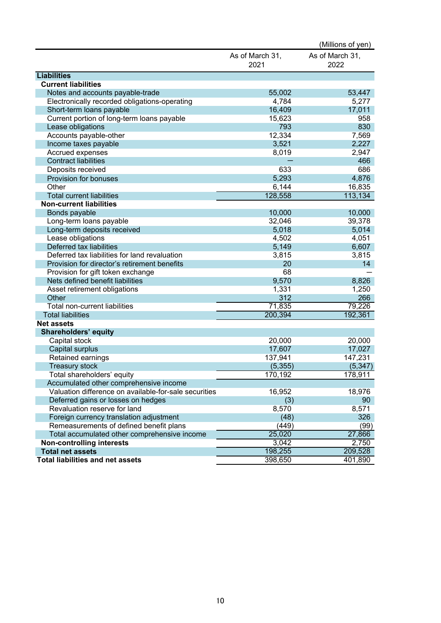|                                                       |                         | (Millions of yen)       |
|-------------------------------------------------------|-------------------------|-------------------------|
|                                                       | As of March 31,<br>2021 | As of March 31,<br>2022 |
| <b>Liabilities</b>                                    |                         |                         |
| <b>Current liabilities</b>                            |                         |                         |
| Notes and accounts payable-trade                      | 55,002                  | 53,447                  |
| Electronically recorded obligations-operating         | 4,784                   | 5,277                   |
| Short-term loans payable                              | 16,409                  | 17,011                  |
| Current portion of long-term loans payable            | 15,623                  | 958                     |
| Lease obligations                                     | 793                     | 830                     |
| Accounts payable-other                                | 12,334                  | 7,569                   |
| Income taxes payable                                  | 3,521                   | 2,227                   |
| Accrued expenses                                      | 8,019                   | 2,947                   |
| <b>Contract liabilities</b>                           |                         | 466                     |
| Deposits received                                     | 633                     | 686                     |
| Provision for bonuses                                 | 5,293                   | 4,876                   |
| Other                                                 | 6,144                   | 16,835                  |
| <b>Total current liabilities</b>                      | 128,558                 | 113,134                 |
| <b>Non-current liabilities</b>                        |                         |                         |
| Bonds payable                                         | 10,000                  | 10,000                  |
| Long-term loans payable                               | 32,046                  | 39,378                  |
| Long-term deposits received                           | 5,018                   | 5,014                   |
| Lease obligations                                     | 4,502                   | 4,051                   |
| Deferred tax liabilities                              | 5,149                   | 6,607                   |
| Deferred tax liabilities for land revaluation         | 3,815                   | 3,815                   |
| Provision for director's retirement benefits          | 20                      | 14                      |
| Provision for gift token exchange                     | 68                      |                         |
| Nets defined benefit liabilities                      | 9,570                   | 8,826                   |
| Asset retirement obligations                          | 1,331                   | 1,250                   |
| Other                                                 | 312                     | 266                     |
| Total non-current liabilities                         | 71,835                  | 79,226                  |
| <b>Total liabilities</b>                              | 200,394                 | 192,361                 |
| <b>Net assets</b>                                     |                         |                         |
| <b>Shareholders' equity</b>                           |                         |                         |
| Capital stock                                         | 20,000                  | 20,000                  |
| Capital surplus                                       | 17,607                  | 17,027                  |
| Retained earnings                                     | 137,941                 | 147,231                 |
| <b>Treasury stock</b>                                 | (5, 355)                | (5, 347)                |
| Total shareholders' equity                            | 170,192                 | 178,911                 |
| Accumulated other comprehensive income                |                         |                         |
| Valuation difference on available-for-sale securities | 16,952                  | 18,976                  |
| Deferred gains or losses on hedges                    | (3)                     | 90                      |
| Revaluation reserve for land                          | 8,570                   | 8,571                   |
| Foreign currency translation adjustment               | (48)                    | 326                     |
| Remeasurements of defined benefit plans               | (449)                   | (99)                    |
| Total accumulated other comprehensive income          | 25,020                  | 27,866                  |
| <b>Non-controlling interests</b>                      | 3,042                   | 2,750                   |
| <b>Total net assets</b>                               | 198,255                 | 209,528                 |
| <b>Total liabilities and net assets</b>               | 398,650                 | 401,890                 |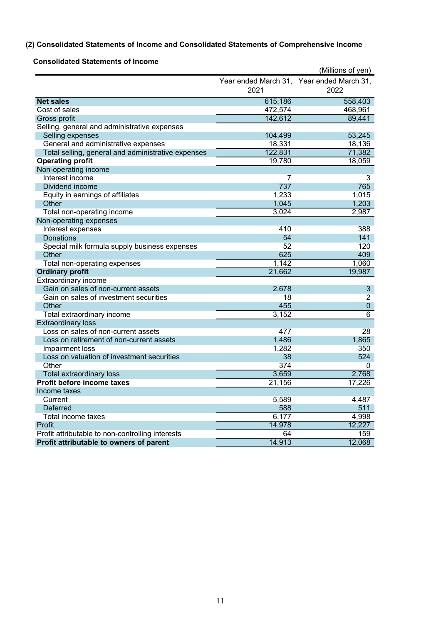# **(2) Consolidated Statements of Income and Consolidated Statements of Comprehensive Income**

| Year ended March 31, Year ended March 31,<br>2021<br>2022<br><b>Net sales</b><br>615,186<br>558,403<br>Cost of sales<br>472,574<br>468,961<br>142,612<br>89,441<br>Gross profit<br>Selling, general and administrative expenses<br>Selling expenses<br>104,499<br>53,245<br>General and administrative expenses<br>18,331<br>18,136<br>71,382<br>122,831<br>Total selling, general and administrative expenses<br><b>Operating profit</b><br>19,780<br>18,059<br>Non-operating income<br>Interest income<br>7<br>3<br>Dividend income<br>737<br>765<br>1,233<br>1,015<br>Equity in earnings of affiliates<br>1,203<br>Other<br>1,045<br>Total non-operating income<br>3,024<br>2,987<br>Non-operating expenses<br>410<br>388<br>Interest expenses<br>54<br>141<br><b>Donations</b><br>52<br>120<br>Special milk formula supply business expenses<br>Other<br>625<br>409<br>1,142<br>1,060<br>Total non-operating expenses<br><b>Ordinary profit</b><br>21,662<br>19,987<br>Extraordinary income<br>Gain on sales of non-current assets<br>2,678<br>3<br>Gain on sales of investment securities<br>18<br>$\overline{2}$<br>Other<br>455<br>$\mathbf 0$<br>Total extraordinary income<br>3,152<br>6<br><b>Extraordinary loss</b><br>Loss on sales of non-current assets<br>477<br>28<br>1,486<br>1,865<br>Loss on retirement of non-current assets<br>1,282<br>350<br>Impairment loss<br>524<br>Loss on valuation of investment securities<br>38<br>Other<br>374<br>0<br>3,659<br>2,768<br><b>Total extraordinary loss</b><br>21,156<br>17,226<br>Profit before income taxes<br>Income taxes<br>5,589<br>4,487<br>Current |          |     | (Millions of yen) |
|-------------------------------------------------------------------------------------------------------------------------------------------------------------------------------------------------------------------------------------------------------------------------------------------------------------------------------------------------------------------------------------------------------------------------------------------------------------------------------------------------------------------------------------------------------------------------------------------------------------------------------------------------------------------------------------------------------------------------------------------------------------------------------------------------------------------------------------------------------------------------------------------------------------------------------------------------------------------------------------------------------------------------------------------------------------------------------------------------------------------------------------------------------------------------------------------------------------------------------------------------------------------------------------------------------------------------------------------------------------------------------------------------------------------------------------------------------------------------------------------------------------------------------------------------------------------------------------------------------------------------|----------|-----|-------------------|
|                                                                                                                                                                                                                                                                                                                                                                                                                                                                                                                                                                                                                                                                                                                                                                                                                                                                                                                                                                                                                                                                                                                                                                                                                                                                                                                                                                                                                                                                                                                                                                                                                         |          |     |                   |
|                                                                                                                                                                                                                                                                                                                                                                                                                                                                                                                                                                                                                                                                                                                                                                                                                                                                                                                                                                                                                                                                                                                                                                                                                                                                                                                                                                                                                                                                                                                                                                                                                         |          |     |                   |
|                                                                                                                                                                                                                                                                                                                                                                                                                                                                                                                                                                                                                                                                                                                                                                                                                                                                                                                                                                                                                                                                                                                                                                                                                                                                                                                                                                                                                                                                                                                                                                                                                         |          |     |                   |
|                                                                                                                                                                                                                                                                                                                                                                                                                                                                                                                                                                                                                                                                                                                                                                                                                                                                                                                                                                                                                                                                                                                                                                                                                                                                                                                                                                                                                                                                                                                                                                                                                         |          |     |                   |
|                                                                                                                                                                                                                                                                                                                                                                                                                                                                                                                                                                                                                                                                                                                                                                                                                                                                                                                                                                                                                                                                                                                                                                                                                                                                                                                                                                                                                                                                                                                                                                                                                         |          |     |                   |
|                                                                                                                                                                                                                                                                                                                                                                                                                                                                                                                                                                                                                                                                                                                                                                                                                                                                                                                                                                                                                                                                                                                                                                                                                                                                                                                                                                                                                                                                                                                                                                                                                         |          |     |                   |
|                                                                                                                                                                                                                                                                                                                                                                                                                                                                                                                                                                                                                                                                                                                                                                                                                                                                                                                                                                                                                                                                                                                                                                                                                                                                                                                                                                                                                                                                                                                                                                                                                         |          |     |                   |
|                                                                                                                                                                                                                                                                                                                                                                                                                                                                                                                                                                                                                                                                                                                                                                                                                                                                                                                                                                                                                                                                                                                                                                                                                                                                                                                                                                                                                                                                                                                                                                                                                         |          |     |                   |
|                                                                                                                                                                                                                                                                                                                                                                                                                                                                                                                                                                                                                                                                                                                                                                                                                                                                                                                                                                                                                                                                                                                                                                                                                                                                                                                                                                                                                                                                                                                                                                                                                         |          |     |                   |
|                                                                                                                                                                                                                                                                                                                                                                                                                                                                                                                                                                                                                                                                                                                                                                                                                                                                                                                                                                                                                                                                                                                                                                                                                                                                                                                                                                                                                                                                                                                                                                                                                         |          |     |                   |
|                                                                                                                                                                                                                                                                                                                                                                                                                                                                                                                                                                                                                                                                                                                                                                                                                                                                                                                                                                                                                                                                                                                                                                                                                                                                                                                                                                                                                                                                                                                                                                                                                         |          |     |                   |
|                                                                                                                                                                                                                                                                                                                                                                                                                                                                                                                                                                                                                                                                                                                                                                                                                                                                                                                                                                                                                                                                                                                                                                                                                                                                                                                                                                                                                                                                                                                                                                                                                         |          |     |                   |
|                                                                                                                                                                                                                                                                                                                                                                                                                                                                                                                                                                                                                                                                                                                                                                                                                                                                                                                                                                                                                                                                                                                                                                                                                                                                                                                                                                                                                                                                                                                                                                                                                         |          |     |                   |
|                                                                                                                                                                                                                                                                                                                                                                                                                                                                                                                                                                                                                                                                                                                                                                                                                                                                                                                                                                                                                                                                                                                                                                                                                                                                                                                                                                                                                                                                                                                                                                                                                         |          |     |                   |
|                                                                                                                                                                                                                                                                                                                                                                                                                                                                                                                                                                                                                                                                                                                                                                                                                                                                                                                                                                                                                                                                                                                                                                                                                                                                                                                                                                                                                                                                                                                                                                                                                         |          |     |                   |
|                                                                                                                                                                                                                                                                                                                                                                                                                                                                                                                                                                                                                                                                                                                                                                                                                                                                                                                                                                                                                                                                                                                                                                                                                                                                                                                                                                                                                                                                                                                                                                                                                         |          |     |                   |
|                                                                                                                                                                                                                                                                                                                                                                                                                                                                                                                                                                                                                                                                                                                                                                                                                                                                                                                                                                                                                                                                                                                                                                                                                                                                                                                                                                                                                                                                                                                                                                                                                         |          |     |                   |
|                                                                                                                                                                                                                                                                                                                                                                                                                                                                                                                                                                                                                                                                                                                                                                                                                                                                                                                                                                                                                                                                                                                                                                                                                                                                                                                                                                                                                                                                                                                                                                                                                         |          |     |                   |
|                                                                                                                                                                                                                                                                                                                                                                                                                                                                                                                                                                                                                                                                                                                                                                                                                                                                                                                                                                                                                                                                                                                                                                                                                                                                                                                                                                                                                                                                                                                                                                                                                         |          |     |                   |
|                                                                                                                                                                                                                                                                                                                                                                                                                                                                                                                                                                                                                                                                                                                                                                                                                                                                                                                                                                                                                                                                                                                                                                                                                                                                                                                                                                                                                                                                                                                                                                                                                         |          |     |                   |
|                                                                                                                                                                                                                                                                                                                                                                                                                                                                                                                                                                                                                                                                                                                                                                                                                                                                                                                                                                                                                                                                                                                                                                                                                                                                                                                                                                                                                                                                                                                                                                                                                         |          |     |                   |
|                                                                                                                                                                                                                                                                                                                                                                                                                                                                                                                                                                                                                                                                                                                                                                                                                                                                                                                                                                                                                                                                                                                                                                                                                                                                                                                                                                                                                                                                                                                                                                                                                         |          |     |                   |
|                                                                                                                                                                                                                                                                                                                                                                                                                                                                                                                                                                                                                                                                                                                                                                                                                                                                                                                                                                                                                                                                                                                                                                                                                                                                                                                                                                                                                                                                                                                                                                                                                         |          |     |                   |
|                                                                                                                                                                                                                                                                                                                                                                                                                                                                                                                                                                                                                                                                                                                                                                                                                                                                                                                                                                                                                                                                                                                                                                                                                                                                                                                                                                                                                                                                                                                                                                                                                         |          |     |                   |
|                                                                                                                                                                                                                                                                                                                                                                                                                                                                                                                                                                                                                                                                                                                                                                                                                                                                                                                                                                                                                                                                                                                                                                                                                                                                                                                                                                                                                                                                                                                                                                                                                         |          |     |                   |
|                                                                                                                                                                                                                                                                                                                                                                                                                                                                                                                                                                                                                                                                                                                                                                                                                                                                                                                                                                                                                                                                                                                                                                                                                                                                                                                                                                                                                                                                                                                                                                                                                         |          |     |                   |
|                                                                                                                                                                                                                                                                                                                                                                                                                                                                                                                                                                                                                                                                                                                                                                                                                                                                                                                                                                                                                                                                                                                                                                                                                                                                                                                                                                                                                                                                                                                                                                                                                         |          |     |                   |
|                                                                                                                                                                                                                                                                                                                                                                                                                                                                                                                                                                                                                                                                                                                                                                                                                                                                                                                                                                                                                                                                                                                                                                                                                                                                                                                                                                                                                                                                                                                                                                                                                         |          |     |                   |
|                                                                                                                                                                                                                                                                                                                                                                                                                                                                                                                                                                                                                                                                                                                                                                                                                                                                                                                                                                                                                                                                                                                                                                                                                                                                                                                                                                                                                                                                                                                                                                                                                         |          |     |                   |
|                                                                                                                                                                                                                                                                                                                                                                                                                                                                                                                                                                                                                                                                                                                                                                                                                                                                                                                                                                                                                                                                                                                                                                                                                                                                                                                                                                                                                                                                                                                                                                                                                         |          |     |                   |
|                                                                                                                                                                                                                                                                                                                                                                                                                                                                                                                                                                                                                                                                                                                                                                                                                                                                                                                                                                                                                                                                                                                                                                                                                                                                                                                                                                                                                                                                                                                                                                                                                         |          |     |                   |
|                                                                                                                                                                                                                                                                                                                                                                                                                                                                                                                                                                                                                                                                                                                                                                                                                                                                                                                                                                                                                                                                                                                                                                                                                                                                                                                                                                                                                                                                                                                                                                                                                         |          |     |                   |
|                                                                                                                                                                                                                                                                                                                                                                                                                                                                                                                                                                                                                                                                                                                                                                                                                                                                                                                                                                                                                                                                                                                                                                                                                                                                                                                                                                                                                                                                                                                                                                                                                         |          |     |                   |
|                                                                                                                                                                                                                                                                                                                                                                                                                                                                                                                                                                                                                                                                                                                                                                                                                                                                                                                                                                                                                                                                                                                                                                                                                                                                                                                                                                                                                                                                                                                                                                                                                         |          |     |                   |
|                                                                                                                                                                                                                                                                                                                                                                                                                                                                                                                                                                                                                                                                                                                                                                                                                                                                                                                                                                                                                                                                                                                                                                                                                                                                                                                                                                                                                                                                                                                                                                                                                         |          |     |                   |
|                                                                                                                                                                                                                                                                                                                                                                                                                                                                                                                                                                                                                                                                                                                                                                                                                                                                                                                                                                                                                                                                                                                                                                                                                                                                                                                                                                                                                                                                                                                                                                                                                         |          |     |                   |
|                                                                                                                                                                                                                                                                                                                                                                                                                                                                                                                                                                                                                                                                                                                                                                                                                                                                                                                                                                                                                                                                                                                                                                                                                                                                                                                                                                                                                                                                                                                                                                                                                         |          |     |                   |
|                                                                                                                                                                                                                                                                                                                                                                                                                                                                                                                                                                                                                                                                                                                                                                                                                                                                                                                                                                                                                                                                                                                                                                                                                                                                                                                                                                                                                                                                                                                                                                                                                         |          |     |                   |
|                                                                                                                                                                                                                                                                                                                                                                                                                                                                                                                                                                                                                                                                                                                                                                                                                                                                                                                                                                                                                                                                                                                                                                                                                                                                                                                                                                                                                                                                                                                                                                                                                         | Deferred | 588 | 511               |
| Total income taxes<br>6,177<br>4,998                                                                                                                                                                                                                                                                                                                                                                                                                                                                                                                                                                                                                                                                                                                                                                                                                                                                                                                                                                                                                                                                                                                                                                                                                                                                                                                                                                                                                                                                                                                                                                                    |          |     |                   |
| 12,227<br>14,978                                                                                                                                                                                                                                                                                                                                                                                                                                                                                                                                                                                                                                                                                                                                                                                                                                                                                                                                                                                                                                                                                                                                                                                                                                                                                                                                                                                                                                                                                                                                                                                                        | Profit   |     |                   |
| 64<br>159<br>Profit attributable to non-controlling interests                                                                                                                                                                                                                                                                                                                                                                                                                                                                                                                                                                                                                                                                                                                                                                                                                                                                                                                                                                                                                                                                                                                                                                                                                                                                                                                                                                                                                                                                                                                                                           |          |     |                   |
| 14,913<br>12,068<br>Profit attributable to owners of parent                                                                                                                                                                                                                                                                                                                                                                                                                                                                                                                                                                                                                                                                                                                                                                                                                                                                                                                                                                                                                                                                                                                                                                                                                                                                                                                                                                                                                                                                                                                                                             |          |     |                   |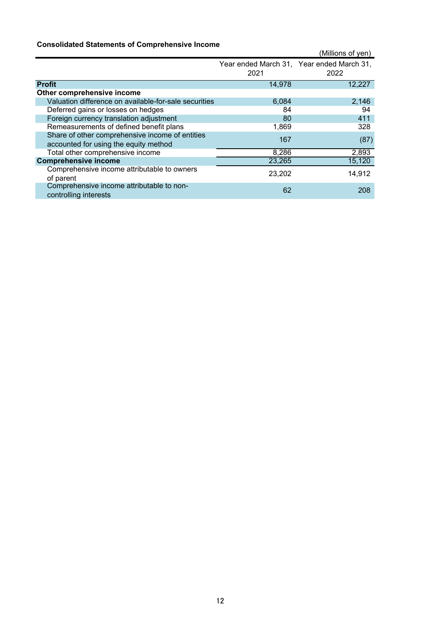# **Consolidated Statements of Comprehensive Income**

|                                                                                          |        | (Millions of yen)                         |
|------------------------------------------------------------------------------------------|--------|-------------------------------------------|
|                                                                                          |        | Year ended March 31, Year ended March 31, |
|                                                                                          | 2021   | 2022                                      |
| <b>Profit</b>                                                                            | 14,978 | 12,227                                    |
| Other comprehensive income                                                               |        |                                           |
| Valuation difference on available-for-sale securities                                    | 6,084  | 2,146                                     |
| Deferred gains or losses on hedges                                                       | 84     | 94                                        |
| Foreign currency translation adjustment                                                  | 80     | 411                                       |
| Remeasurements of defined benefit plans                                                  | 1,869  | 328                                       |
| Share of other comprehensive income of entities<br>accounted for using the equity method | 167    | (87)                                      |
| Total other comprehensive income                                                         | 8,286  | 2,893                                     |
| <b>Comprehensive income</b>                                                              | 23,265 | 15,120                                    |
| Comprehensive income attributable to owners<br>of parent                                 | 23,202 | 14,912                                    |
| Comprehensive income attributable to non-<br>controlling interests                       | 62     | 208                                       |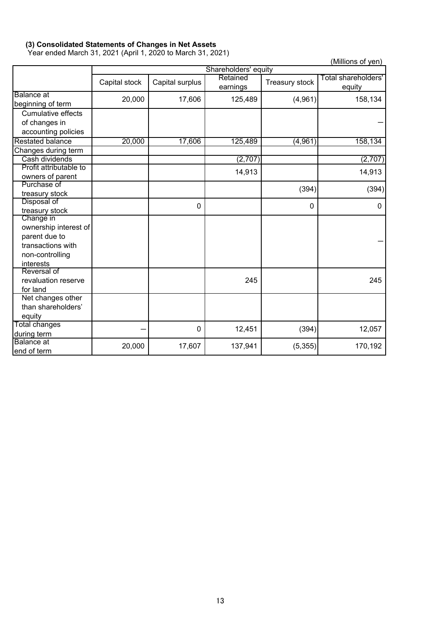# **(3) Consolidated Statements of Changes in Net Assets**

Year ended March 31, 2021 (April 1, 2020 to March 31, 2021)

(Millions of yen)

|                           | Shareholders' equity |                 |                      |                |                               |
|---------------------------|----------------------|-----------------|----------------------|----------------|-------------------------------|
|                           | Capital stock        | Capital surplus | Retained<br>earnings | Treasury stock | Total shareholders'<br>equity |
| <b>Balance</b> at         | 20,000               | 17,606          | 125,489              | (4,961)        | 158,134                       |
| beginning of term         |                      |                 |                      |                |                               |
| <b>Cumulative effects</b> |                      |                 |                      |                |                               |
| of changes in             |                      |                 |                      |                |                               |
| accounting policies       |                      |                 |                      |                |                               |
| <b>Restated balance</b>   | 20,000               | 17,606          | 125,489              | (4, 961)       | 158,134                       |
| Changes during term       |                      |                 |                      |                |                               |
| Cash dividends            |                      |                 | (2,707)              |                | (2,707)                       |
| Profit attributable to    |                      |                 | 14,913               |                | 14,913                        |
| owners of parent          |                      |                 |                      |                |                               |
| Purchase of               |                      |                 |                      | (394)          | (394)                         |
| treasury stock            |                      |                 |                      |                |                               |
| Disposal of               |                      | $\mathbf{0}$    |                      | 0              | 0                             |
| treasury stock            |                      |                 |                      |                |                               |
| Change in                 |                      |                 |                      |                |                               |
| ownership interest of     |                      |                 |                      |                |                               |
| parent due to             |                      |                 |                      |                |                               |
| transactions with         |                      |                 |                      |                |                               |
| non-controlling           |                      |                 |                      |                |                               |
| interests                 |                      |                 |                      |                |                               |
| Reversal of               |                      |                 |                      |                |                               |
| revaluation reserve       |                      |                 | 245                  |                | 245                           |
| for land                  |                      |                 |                      |                |                               |
| Net changes other         |                      |                 |                      |                |                               |
| than shareholders'        |                      |                 |                      |                |                               |
| equity                    |                      |                 |                      |                |                               |
| <b>Total changes</b>      |                      | $\mathbf 0$     | 12,451               | (394)          | 12,057                        |
| during term               |                      |                 |                      |                |                               |
| <b>Balance</b> at         | 20,000               | 17,607          | 137,941              | (5, 355)       | 170,192                       |
| end of term               |                      |                 |                      |                |                               |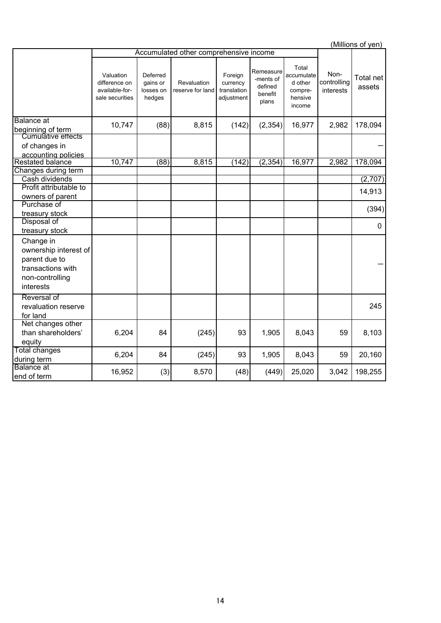(Millions of yen) 3,042 198,255 Total accumulate d other comprehensive income Profit attributable to owners of parent Purchase of treasury stock Change in ownership interest of parent due to transactions with non-controlling interests Revaluation reserve for land Foreign currency translation adjustment Deferred gains or losses on hedges Remeasure -ments of defined benefit plans Noncontrolling interests 8,815 (142) (2,354) 16,977 2,982 178,094 Total net assets Accumulated other comprehensive income 10,747 (88) Valuation difference on available-forsale securities Changes during term (2,354) 16,977 2,982 - 178,094 Balance at beginning of term (142) 2,982 Disposal of treasury stock Reversal of revaluation reserve for land 245 (394) 84 | (245)| 93 | 1,905 | 8,043 | 59 | 20,160 16,952 (3) 8,570 (48) (449) 25,020 0 Balance at end of term 1,905 8,043 59 8,103 Cumulative effects of changes in accounting policies Restated balance - (2,707) Net changes other than shareholders' equity 6,204 84 (245) 93 14,913 Total changes during term 6,204 Cash dividends 10,747 (88) 8,815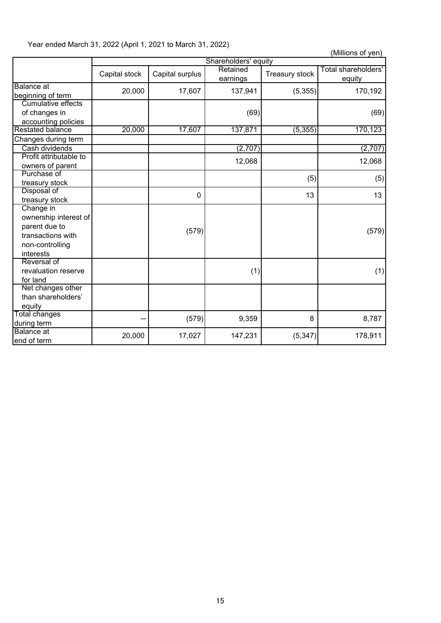|  | Year ended March 31, 2022 (April 1, 2021 to March 31, 2022) |
|--|-------------------------------------------------------------|
|--|-------------------------------------------------------------|

| (Millions of yen) |
|-------------------|
|-------------------|

|                        |               |                 | Shareholders' equity |                |                     |
|------------------------|---------------|-----------------|----------------------|----------------|---------------------|
|                        | Capital stock | Capital surplus | Retained             | Treasury stock | Total shareholders' |
|                        |               |                 | earnings             |                | equity              |
| <b>Balance</b> at      | 20,000        | 17,607          | 137,941              | (5,355)        | 170,192             |
| beginning of term      |               |                 |                      |                |                     |
| Cumulative effects     |               |                 |                      |                |                     |
| of changes in          |               |                 | (69)                 |                | (69)                |
| accounting policies    |               |                 |                      |                |                     |
| Restated balance       | 20,000        | 17,607          | 137,871              | (5, 355)       | 170,123             |
| Changes during term    |               |                 |                      |                |                     |
| Cash dividends         |               |                 | (2,707)              |                | (2,707)             |
| Profit attributable to |               |                 | 12,068               |                | 12,068              |
| owners of parent       |               |                 |                      |                |                     |
| Purchase of            |               |                 |                      | (5)            | (5)                 |
| treasury stock         |               |                 |                      |                |                     |
| Disposal of            |               | 0               |                      | 13             | 13                  |
| treasury stock         |               |                 |                      |                |                     |
| Change in              |               |                 |                      |                |                     |
| ownership interest of  |               |                 |                      |                |                     |
| parent due to          |               | (579)           |                      |                | (579)               |
| transactions with      |               |                 |                      |                |                     |
| non-controlling        |               |                 |                      |                |                     |
| interests              |               |                 |                      |                |                     |
| Reversal of            |               |                 |                      |                |                     |
| revaluation reserve    |               |                 | (1)                  |                | (1)                 |
| for land               |               |                 |                      |                |                     |
| Net changes other      |               |                 |                      |                |                     |
| than shareholders'     |               |                 |                      |                |                     |
| equity                 |               |                 |                      |                |                     |
| Total changes          |               | (579)           | 9,359                | 8              | 8,787               |
| during term            |               |                 |                      |                |                     |
| <b>Balance</b> at      | 20,000        | 17,027          | 147,231              | (5, 347)       | 178,911             |
| end of term            |               |                 |                      |                |                     |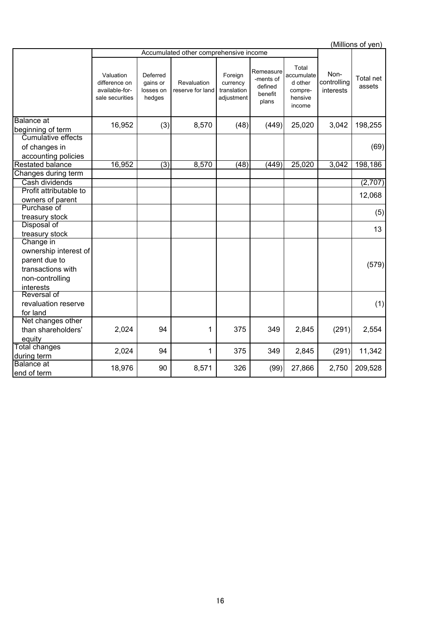(Millions of yen) 2,024 | 94 | 1 | 375 | 349 | 2,845 | (291)| 11,342  $(99)$  27,866 2,750 209,528 (1) (579) 326 Total net assets Valuation difference on available-forsale securities Purchase of treasury stock Disposal of treasury stock 25,020 3,042 13 (2,707) 25,020 3,042 198,255 Reversal of revaluation reserve for land Change in ownership interest of parent due to transactions with non-controlling interests Total changes during term Balance at end of term 18,976 90 8,571 Deferred gains or losses on hedges Revaluation reserve for land Foreign currency translation adjustment 12,068 (5) Balance at Balance at  $\begin{bmatrix} 6 & 16 & 952 \\ 16 & 952 & 3 \end{bmatrix}$  (3) 8,570 (48) (449) Cash dividends Changes during term 16,952 Accumulated other comprehensive income Noncontrolling interests Total accumulate d other comprehensive income Profit attributable to owners of parent Restated balance (3) 198,186 Net changes other than shareholders' equity 2,024 94 1 375 349 2,845 (291) 2,554 Cumulative effects of changes in accounting policies 16,952 (3) 8,570 (69)  $(48)$   $(449)$ Remeasure -ments of defined benefit plans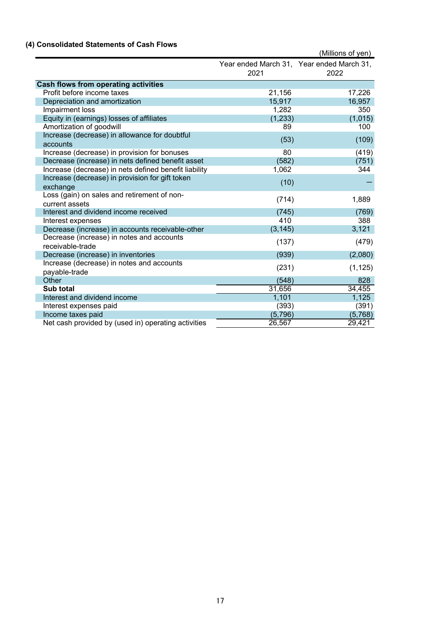# **(4) Consolidated Statements of Cash Flows**

|                                                               |          | (Millions of yen)                                 |
|---------------------------------------------------------------|----------|---------------------------------------------------|
|                                                               | 2021     | Year ended March 31, Year ended March 31,<br>2022 |
| <b>Cash flows from operating activities</b>                   |          |                                                   |
| Profit before income taxes                                    | 21,156   | 17,226                                            |
| Depreciation and amortization                                 | 15,917   | 16,957                                            |
| Impairment loss                                               | 1,282    | 350                                               |
| Equity in (earnings) losses of affiliates                     | (1, 233) | (1,015)                                           |
| Amortization of goodwill                                      | 89       | 100                                               |
| Increase (decrease) in allowance for doubtful<br>accounts     | (53)     | (109)                                             |
| Increase (decrease) in provision for bonuses                  | 80       | (419)                                             |
| Decrease (increase) in nets defined benefit asset             | (582)    | (751)                                             |
| Increase (decrease) in nets defined benefit liability         | 1,062    | 344                                               |
| Increase (decrease) in provision for gift token<br>exchange   | (10)     |                                                   |
| Loss (gain) on sales and retirement of non-<br>current assets | (714)    | 1,889                                             |
| Interest and dividend income received                         | (745)    | (769)                                             |
| Interest expenses                                             | 410      | 388                                               |
| Decrease (increase) in accounts receivable-other              | (3, 145) | 3,121                                             |
| Decrease (increase) in notes and accounts<br>receivable-trade | (137)    | (479)                                             |
| Decrease (increase) in inventories                            | (939)    | (2,080)                                           |
| Increase (decrease) in notes and accounts<br>payable-trade    | (231)    | (1, 125)                                          |
| Other                                                         | (548)    | 828                                               |
| Sub total                                                     | 31,656   | 34,455                                            |
| Interest and dividend income                                  | 1,101    | 1,125                                             |
| Interest expenses paid                                        | (393)    | (391)                                             |
| Income taxes paid                                             | (5,796)  | (5,768)                                           |
| Net cash provided by (used in) operating activities           | 26,567   | 29,421                                            |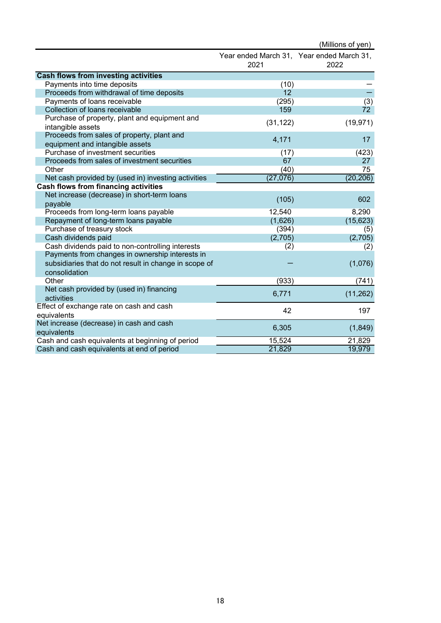|                                                                               |                 | (Millions of yen)                                 |
|-------------------------------------------------------------------------------|-----------------|---------------------------------------------------|
|                                                                               | 2021            | Year ended March 31, Year ended March 31,<br>2022 |
| <b>Cash flows from investing activities</b>                                   |                 |                                                   |
| Payments into time deposits                                                   | (10)            |                                                   |
| Proceeds from withdrawal of time deposits                                     | 12 <sup>2</sup> |                                                   |
| Payments of loans receivable                                                  | (295)           | $\overline{(3)}$                                  |
| Collection of loans receivable                                                | 159             | 72                                                |
| Purchase of property, plant and equipment and<br>intangible assets            | (31, 122)       | (19, 971)                                         |
| Proceeds from sales of property, plant and<br>equipment and intangible assets | 4,171           | 17                                                |
| Purchase of investment securities                                             | (17)            | (423)                                             |
| Proceeds from sales of investment securities                                  | 67              | 27                                                |
| Other                                                                         | (40)            | 75                                                |
| Net cash provided by (used in) investing activities                           | (27,076)        | (20, 206)                                         |
| <b>Cash flows from financing activities</b>                                   |                 |                                                   |
| Net increase (decrease) in short-term loans                                   |                 |                                                   |
| payable                                                                       | (105)           | 602                                               |
| Proceeds from long-term loans payable                                         | 12,540          | 8,290                                             |
| Repayment of long-term loans payable                                          | (1,626)         | (15, 623)                                         |
| Purchase of treasury stock                                                    | (394)           | (5)                                               |
| Cash dividends paid                                                           | (2,705)         | (2,705)                                           |
| Cash dividends paid to non-controlling interests                              | (2)             | (2)                                               |
| Payments from changes in ownership interests in                               |                 |                                                   |
| subsidiaries that do not result in change in scope of<br>consolidation        |                 | (1,076)                                           |
| Other                                                                         | (933)           | (741)                                             |
| Net cash provided by (used in) financing                                      |                 |                                                   |
| activities                                                                    | 6,771           | (11, 262)                                         |
| Effect of exchange rate on cash and cash<br>equivalents                       | 42              | 197                                               |
| Net increase (decrease) in cash and cash                                      |                 |                                                   |
| equivalents                                                                   | 6,305           | (1,849)                                           |
| Cash and cash equivalents at beginning of period                              | 15,524          | 21,829                                            |
| Cash and cash equivalents at end of period                                    | 21,829          | 19,979                                            |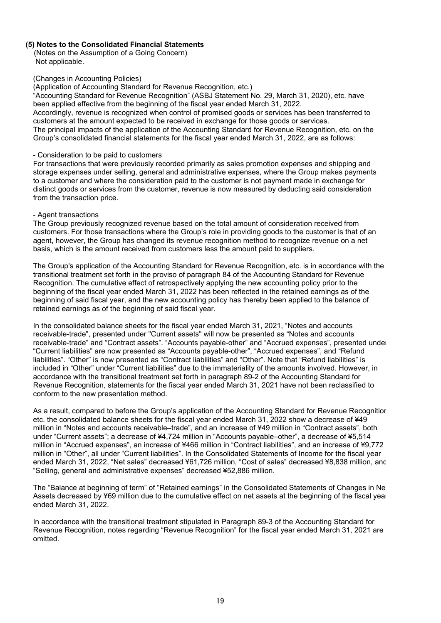# **(5) Notes to the Consolidated Financial Statements**

 (Notes on the Assumption of a Going Concern) Not applicable.

#### (Changes in Accounting Policies)

(Application of Accounting Standard for Revenue Recognition, etc.)

"Accounting Standard for Revenue Recognition" (ASBJ Statement No. 29, March 31, 2020), etc. have been applied effective from the beginning of the fiscal year ended March 31, 2022.

Accordingly, revenue is recognized when control of promised goods or services has been transferred to customers at the amount expected to be received in exchange for those goods or services. The principal impacts of the application of the Accounting Standard for Revenue Recognition, etc. on the Group's consolidated financial statements for the fiscal year ended March 31, 2022, are as follows:

#### - Consideration to be paid to customers

For transactions that were previously recorded primarily as sales promotion expenses and shipping and storage expenses under selling, general and administrative expenses, where the Group makes payments to a customer and where the consideration paid to the customer is not payment made in exchange for distinct goods or services from the customer, revenue is now measured by deducting said consideration from the transaction price.

#### - Agent transactions

The Group previously recognized revenue based on the total amount of consideration received from customers. For those transactions where the Group's role in providing goods to the customer is that of an agent, however, the Group has changed its revenue recognition method to recognize revenue on a net basis, which is the amount received from customers less the amount paid to suppliers.

The Group's application of the Accounting Standard for Revenue Recognition, etc. is in accordance with the transitional treatment set forth in the proviso of paragraph 84 of the Accounting Standard for Revenue Recognition. The cumulative effect of retrospectively applying the new accounting policy prior to the beginning of the fiscal year ended March 31, 2022 has been reflected in the retained earnings as of the beginning of said fiscal year, and the new accounting policy has thereby been applied to the balance of retained earnings as of the beginning of said fiscal year.

In the consolidated balance sheets for the fiscal year ended March 31, 2021, "Notes and accounts receivable-trade", presented under "Current assets" will now be presented as "Notes and accounts receivable-trade" and "Contract assets". "Accounts payable-other" and "Accrued expenses", presented under "Current liabilities" are now presented as "Accounts payable-other", "Accrued expenses", and "Refund liabilities". "Other" is now presented as "Contract liabilities" and "Other". Note that "Refund liabilities" is included in "Other" under "Current liabilities" due to the immateriality of the amounts involved. However, in accordance with the transitional treatment set forth in paragraph 89-2 of the Accounting Standard for Revenue Recognition, statements for the fiscal year ended March 31, 2021 have not been reclassified to conform to the new presentation method.

As a result, compared to before the Group's application of the Accounting Standard for Revenue Recognition etc. the consolidated balance sheets for the fiscal year ended March 31, 2022 show a decrease of ¥49 million in "Notes and accounts receivable–trade", and an increase of ¥49 million in "Contract assets", both under "Current assets"; a decrease of ¥4,724 million in "Accounts payable–other", a decrease of ¥5,514 million in "Accrued expenses", an increase of ¥466 million in "Contract liabilities", and an increase of ¥9,772 million in "Other", all under "Current liabilities". In the Consolidated Statements of Income for the fiscal year ended March 31, 2022, "Net sales" decreased ¥61,726 million, "Cost of sales" decreased ¥8,838 million, and "Selling, general and administrative expenses" decreased ¥52,886 million.

The "Balance at beginning of term" of "Retained earnings" in the Consolidated Statements of Changes in Net Assets decreased by ¥69 million due to the cumulative effect on net assets at the beginning of the fiscal year ended March 31, 2022.

In accordance with the transitional treatment stipulated in Paragraph 89-3 of the Accounting Standard for Revenue Recognition, notes regarding "Revenue Recognition" for the fiscal year ended March 31, 2021 are omitted.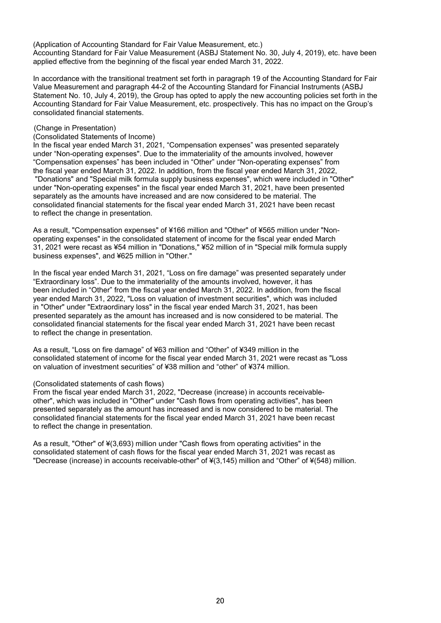(Application of Accounting Standard for Fair Value Measurement, etc.) Accounting Standard for Fair Value Measurement (ASBJ Statement No. 30, July 4, 2019), etc. have been applied effective from the beginning of the fiscal year ended March 31, 2022.

In accordance with the transitional treatment set forth in paragraph 19 of the Accounting Standard for Fair Value Measurement and paragraph 44-2 of the Accounting Standard for Financial Instruments (ASBJ Statement No. 10, July 4, 2019), the Group has opted to apply the new accounting policies set forth in the Accounting Standard for Fair Value Measurement, etc. prospectively. This has no impact on the Group's consolidated financial statements.

#### (Change in Presentation)

#### (Consolidated Statements of Income)

In the fiscal year ended March 31, 2021, "Compensation expenses" was presented separately under "Non-operating expenses". Due to the immateriality of the amounts involved, however "Compensation expenses" has been included in "Other" under "Non-operating expenses" from the fiscal year ended March 31, 2022. In addition, from the fiscal year ended March 31, 2022, "Donations" and "Special milk formula supply business expenses", which were included in "Other" under "Non-operating expenses" in the fiscal year ended March 31, 2021, have been presented separately as the amounts have increased and are now considered to be material. The consolidated financial statements for the fiscal year ended March 31, 2021 have been recast to reflect the change in presentation.

As a result, "Compensation expenses" of ¥166 million and "Other" of ¥565 million under "Nonoperating expenses" in the consolidated statement of income for the fiscal year ended March 31, 2021 were recast as ¥54 million in "Donations," ¥52 million of in "Special milk formula supply business expenses", and ¥625 million in "Other."

In the fiscal year ended March 31, 2021, "Loss on fire damage" was presented separately under "Extraordinary loss". Due to the immateriality of the amounts involved, however, it has been included in "Other" from the fiscal year ended March 31, 2022. In addition, from the fiscal year ended March 31, 2022, "Loss on valuation of investment securities", which was included in "Other" under "Extraordinary loss" in the fiscal year ended March 31, 2021, has been presented separately as the amount has increased and is now considered to be material. The consolidated financial statements for the fiscal year ended March 31, 2021 have been recast to reflect the change in presentation.

As a result, "Loss on fire damage" of ¥63 million and "Other" of ¥349 million in the consolidated statement of income for the fiscal year ended March 31, 2021 were recast as "Loss on valuation of investment securities" of ¥38 million and "other" of ¥374 million.

#### (Consolidated statements of cash flows)

From the fiscal year ended March 31, 2022, "Decrease (increase) in accounts receivableother", which was included in "Other" under "Cash flows from operating activities", has been presented separately as the amount has increased and is now considered to be material. The consolidated financial statements for the fiscal year ended March 31, 2021 have been recast to reflect the change in presentation.

As a result, "Other" of ¥(3,693) million under "Cash flows from operating activities" in the consolidated statement of cash flows for the fiscal year ended March 31, 2021 was recast as "Decrease (increase) in accounts receivable-other" of ¥(3,145) million and "Other" of ¥(548) million.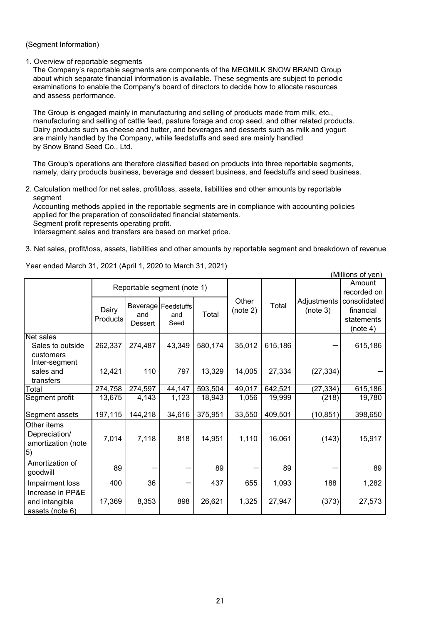# (Segment Information)

#### 1. Overview of reportable segments

The Company's reportable segments are components of the MEGMILK SNOW BRAND Group about which separate financial information is available. These segments are subject to periodic examinations to enable the Company's board of directors to decide how to allocate resources and assess performance.

The Group is engaged mainly in manufacturing and selling of products made from milk, etc., manufacturing and selling of cattle feed, pasture forage and crop seed, and other related products. Dairy products such as cheese and butter, and beverages and desserts such as milk and yogurt are mainly handled by the Company, while feedstuffs and seed are mainly handled by Snow Brand Seed Co., Ltd.

The Group's operations are therefore classified based on products into three reportable segments, namely, dairy products business, beverage and dessert business, and feedstuffs and seed business.

2. Calculation method for net sales, profit/loss, assets, liabilities and other amounts by reportable segment

Accounting methods applied in the reportable segments are in compliance with accounting policies applied for the preparation of consolidated financial statements. Segment profit represents operating profit.

Intersegment sales and transfers are based on market price.

3. Net sales, profit/loss, assets, liabilities and other amounts by reportable segment and breakdown of revenue

|                                                          |                   |                |                                      |         |                   |         |                         | (Millions of yen)                                   |
|----------------------------------------------------------|-------------------|----------------|--------------------------------------|---------|-------------------|---------|-------------------------|-----------------------------------------------------|
|                                                          |                   |                | Reportable segment (note 1)          |         |                   |         | Amount                  | recorded on                                         |
|                                                          | Dairy<br>Products | and<br>Dessert | Beverage   Feedstuffs<br>and<br>Seed | Total   | Other<br>(note 2) | Total   | Adjustments<br>(note 3) | consolidated<br>financial<br>statements<br>(note 4) |
| Net sales<br>Sales to outside<br>customers               | 262,337           | 274,487        | 43,349                               | 580,174 | 35,012            | 615,186 |                         | 615,186                                             |
| Inter-segment<br>sales and<br>transfers                  | 12,421            | 110            | 797                                  | 13,329  | 14,005            | 27,334  | (27, 334)               |                                                     |
| Total                                                    | 274,758           | 274,597        | 44,147                               | 593,504 | 49,017            | 642,521 | (27, 334)               | 615,186                                             |
| Segment profit                                           | 13,675            | 4,143          | 1,123                                | 18,943  | 1,056             | 19,999  | (218)                   | 19,780                                              |
| Segment assets                                           | 197,115           | 144,218        | 34,616                               | 375,951 | 33,550            | 409,501 | (10, 851)               | 398,650                                             |
| Other items<br>Depreciation/<br>amortization (note<br>5) | 7,014             | 7,118          | 818                                  | 14,951  | 1,110             | 16,061  | (143)                   | 15,917                                              |
| Amortization of<br>goodwill                              | 89                |                |                                      | 89      |                   | 89      |                         | 89                                                  |
| Impairment loss<br>Increase in PP&E                      | 400               | 36             |                                      | 437     | 655               | 1,093   | 188                     | 1,282                                               |
| and intangible<br>assets (note 6)                        | 17,369            | 8,353          | 898                                  | 26,621  | 1,325             | 27,947  | (373)                   | 27,573                                              |

Year ended March 31, 2021 (April 1, 2020 to March 31, 2021)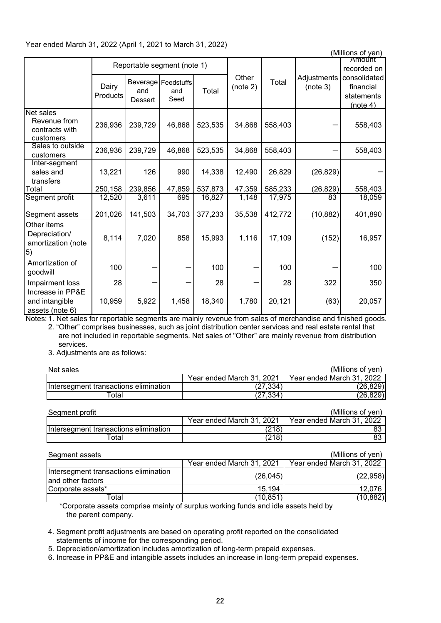|                                                                 |                   |                |                                      |         |                   |         |                         | (Millions of yen)                                   |
|-----------------------------------------------------------------|-------------------|----------------|--------------------------------------|---------|-------------------|---------|-------------------------|-----------------------------------------------------|
|                                                                 |                   |                | Reportable segment (note 1)          |         |                   |         |                         | Amount<br>recorded on                               |
|                                                                 | Dairy<br>Products | and<br>Dessert | Beverage   Feedstuffs<br>and<br>Seed | Total   | Other<br>(note 2) | Total   | Adjustments<br>(note 3) | consolidated<br>financial<br>statements<br>(note 4) |
| <b>Net sales</b><br>Revenue from<br>contracts with<br>customers | 236,936           | 239,729        | 46,868                               | 523,535 | 34,868            | 558,403 |                         | 558,403                                             |
| Sales to outside<br>customers                                   | 236,936           | 239,729        | 46,868                               | 523,535 | 34,868            | 558,403 |                         | 558,403                                             |
| Inter-segment<br>sales and<br>transfers                         | 13,221            | 126            | 990                                  | 14,338  | 12,490            | 26,829  | (26, 829)               |                                                     |
| Total                                                           | 250,158           | 239,856        | 47,859                               | 537,873 | 47,359            | 585,233 | (26, 829)               | 558,403                                             |
| Segment profit                                                  | 12,520            | 3,611          | 695                                  | 16,827  | 1,148             | 17,975  | 83                      | 18,059                                              |
| Segment assets                                                  | 201,026           | 141,503        | 34,703                               | 377,233 | 35,538            | 412,772 | (10, 882)               | 401,890                                             |
| Other items<br>Depreciation/<br>amortization (note<br>5)        | 8,114             | 7,020          | 858                                  | 15,993  | 1,116             | 17,109  | (152)                   | 16,957                                              |
| Amortization of<br>goodwill                                     | 100               |                |                                      | 100     |                   | 100     |                         | 100                                                 |
| Impairment loss<br>Increase in PP&E                             | 28                |                |                                      | 28      |                   | 28      | 322                     | 350                                                 |
| and intangible<br>assets (note 6)                               | 10,959            | 5,922          | 1,458                                | 18,340  | 1,780             | 20,121  | (63)                    | 20,057                                              |

Notes: 1. Net sales for reportable segments are mainly revenue from sales of merchandise and finished goods. 2. "Other" comprises businesses, such as joint distribution center services and real estate rental that

 are not included in reportable segments. Net sales of "Other" are mainly revenue from distribution services.

3. Adjustments are as follows:

| Net sales                             |                           | (Millions of ven)         |
|---------------------------------------|---------------------------|---------------------------|
|                                       | Year ended March 31, 2021 | Year ended March 31, 2022 |
| Intersegment transactions elimination | (27,334)                  | (26, 829)                 |
| ⊺otal                                 | (27, 334)                 | (26, 829)                 |

| Seament profit                        |                           | (Millions of ven)         |
|---------------------------------------|---------------------------|---------------------------|
|                                       | Year ended March 31, 2021 | Year ended March 31, 2022 |
| Intersegment transactions elimination | (218)                     | 83                        |
| Гоtal                                 | $^{\prime}218)$           | 83                        |

| Segment assets                                             |                           | (Millions of yen)         |
|------------------------------------------------------------|---------------------------|---------------------------|
|                                                            | Year ended March 31, 2021 | Year ended March 31, 2022 |
| Intersegment transactions elimination<br>and other factors | (26,045)                  | (22,958)                  |
| Corporate assets*                                          | 15.194                    | 12.076                    |
| Total                                                      | (10,851                   | (10, 882)                 |

\*Corporate assets comprise mainly of surplus working funds and idle assets held by the parent company.

4. Segment profit adjustments are based on operating profit reported on the consolidated statements of income for the corresponding period.

5. Depreciation/amortization includes amortization of long-term prepaid expenses.

6. Increase in PP&E and intangible assets includes an increase in long-term prepaid expenses.